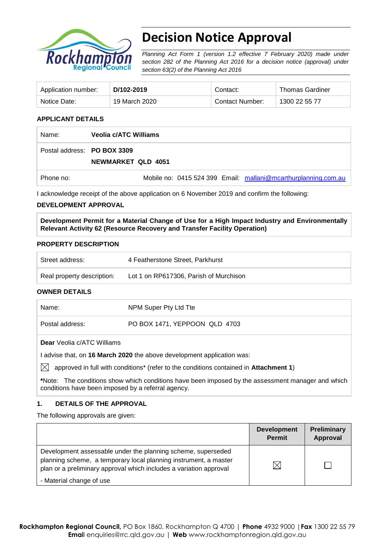

# **Decision Notice Approval**

*Planning Act Form 1 (version 1.2 effective 7 February 2020) made under section 282 of the Planning Act 2016 for a decision notice (approval) under section 63(2) of the Planning Act 2016*

| Application number: | D/102-2019    | Contact:        | <b>Thomas Gardiner</b> |
|---------------------|---------------|-----------------|------------------------|
| Notice Date:        | 19 March 2020 | Contact Number: | 1300 22 55 77          |

#### **APPLICANT DETAILS**

| Name:                       | Veolia c/ATC Williams                                          |
|-----------------------------|----------------------------------------------------------------|
| Postal address: PO BOX 3309 | NEWMARKET QLD 4051                                             |
| Phone no:                   | Mobile no: 0415 524 399 Email: mallani@mcarthurplanning.com.au |

I acknowledge receipt of the above application on 6 November 2019 and confirm the following:

#### **DEVELOPMENT APPROVAL**

**Development Permit for a Material Change of Use for a High Impact Industry and Environmentally Relevant Activity 62 (Resource Recovery and Transfer Facility Operation)**

#### **PROPERTY DESCRIPTION**

| Street address:            | 4 Featherstone Street, Parkhurst       |
|----------------------------|----------------------------------------|
| Real property description: | Lot 1 on RP617306, Parish of Murchison |

#### **OWNER DETAILS**

| Name:                                    | NPM Super Pty Ltd Tte         |
|------------------------------------------|-------------------------------|
| Postal address:                          | PO BOX 1471, YEPPOON QLD 4703 |
| <b>Dear</b> <i>Meelia clATC Milliame</i> |                               |

**Dear** Veolia c/ATC Williams

I advise that, on **16 March 2020** the above development application was:

 $\boxtimes$  approved in full with conditions<sup>\*</sup> (refer to the conditions contained in Attachment 1)

**\***Note:The conditions show which conditions have been imposed by the assessment manager and which conditions have been imposed by a referral agency.

#### **1. DETAILS OF THE APPROVAL**

The following approvals are given:

|                                                                                                                                                                                                        | <b>Development</b><br><b>Permit</b> | <b>Preliminary</b><br>Approval |
|--------------------------------------------------------------------------------------------------------------------------------------------------------------------------------------------------------|-------------------------------------|--------------------------------|
| Development assessable under the planning scheme, superseded<br>planning scheme, a temporary local planning instrument, a master<br>plan or a preliminary approval which includes a variation approval |                                     |                                |
| - Material change of use                                                                                                                                                                               |                                     |                                |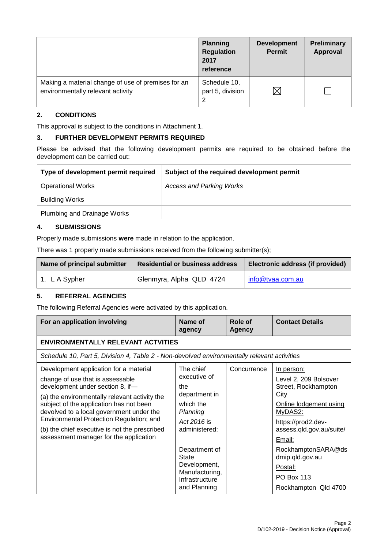|                                                                                         | <b>Planning</b><br><b>Regulation</b><br>2017<br>reference | <b>Development</b><br><b>Permit</b> | <b>Preliminary</b><br><b>Approval</b> |
|-----------------------------------------------------------------------------------------|-----------------------------------------------------------|-------------------------------------|---------------------------------------|
| Making a material change of use of premises for an<br>environmentally relevant activity | Schedule 10,<br>part 5, division                          | $\times$                            |                                       |

### **2. CONDITIONS**

This approval is subject to the conditions in Attachment 1.

#### **3. FURTHER DEVELOPMENT PERMITS REQUIRED**

Please be advised that the following development permits are required to be obtained before the development can be carried out:

| Type of development permit required | Subject of the required development permit |
|-------------------------------------|--------------------------------------------|
| <b>Operational Works</b>            | <b>Access and Parking Works</b>            |
| Building Works                      |                                            |
| <b>Plumbing and Drainage Works</b>  |                                            |

# **4. SUBMISSIONS**

Properly made submissions **were** made in relation to the application.

There was 1 properly made submissions received from the following submitter(s);

| Name of principal submitter<br><b>Residential or business address</b> |                          | Electronic address (if provided) |
|-----------------------------------------------------------------------|--------------------------|----------------------------------|
| 1. LA Sypher                                                          | Glenmyra, Alpha QLD 4724 | info@tvaa.com.au                 |

# **5. REFERRAL AGENCIES**

The following Referral Agencies were activated by this application.

| For an application involving                                                                                                                                                                                                                                                                                                                                                                  | Name of<br>agency                                                                                                                    | Role of<br><b>Agency</b> | <b>Contact Details</b>                                                                                                                                                                                       |
|-----------------------------------------------------------------------------------------------------------------------------------------------------------------------------------------------------------------------------------------------------------------------------------------------------------------------------------------------------------------------------------------------|--------------------------------------------------------------------------------------------------------------------------------------|--------------------------|--------------------------------------------------------------------------------------------------------------------------------------------------------------------------------------------------------------|
| <b>ENVIRONMENTALLY RELEVANT ACTVITIES</b>                                                                                                                                                                                                                                                                                                                                                     |                                                                                                                                      |                          |                                                                                                                                                                                                              |
| Schedule 10, Part 5, Division 4, Table 2 - Non-devolved environmentally relevant activities                                                                                                                                                                                                                                                                                                   |                                                                                                                                      |                          |                                                                                                                                                                                                              |
| Development application for a material<br>change of use that is assessable<br>development under section 8, if-<br>(a) the environmentally relevant activity the<br>subject of the application has not been<br>devolved to a local government under the<br>Environmental Protection Regulation; and<br>(b) the chief executive is not the prescribed<br>assessment manager for the application | The chief<br>executive of<br>the<br>department in<br>which the<br>Planning<br>Act 2016 is<br>administered:<br>Department of<br>State | Concurrence              | In person:<br>Level 2, 209 Bolsover<br>Street, Rockhampton<br>City<br>Online lodgement using<br>MyDAS2:<br>https://prod2.dev-<br>assess.qld.gov.au/suite/<br>Email:<br>RockhamptonSARA@ds<br>dmip.qld.gov.au |
|                                                                                                                                                                                                                                                                                                                                                                                               | Development,<br>Manufacturing,<br>Infrastructure<br>and Planning                                                                     |                          | Postal:<br><b>PO Box 113</b><br>Rockhampton Qld 4700                                                                                                                                                         |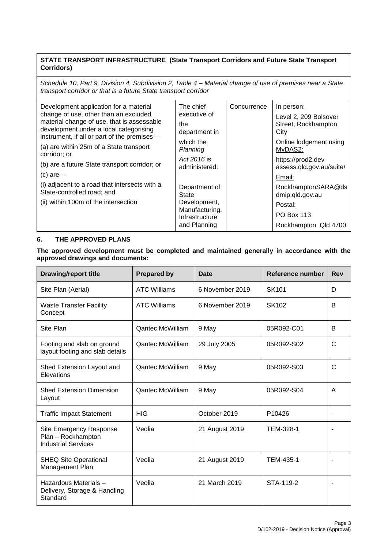### **STATE TRANSPORT INFRASTRUCTURE (State Transport Corridors and Future State Transport Corridors)**

*Schedule 10, Part 9, Division 4, Subdivision 2, Table 4 – Material change of use of premises near a State transport corridor or that is a future State transport corridor*

| Development application for a material<br>change of use, other than an excluded<br>material change of use, that is assessable<br>development under a local categorising<br>instrument, if all or part of the premises-<br>(a) are within 25m of a State transport<br>corridor; or<br>(b) are a future State transport corridor; or<br>$(c)$ are-<br>(i) adjacent to a road that intersects with a<br>State-controlled road; and<br>(ii) within 100m of the intersection | The chief<br>executive of<br>the<br>department in<br>which the<br>Planning<br>Act 2016 is<br>administered:<br>Department of<br>State<br>Development,<br>Manufacturing, | Concurrence | In person:<br>Level 2, 209 Bolsover<br>Street, Rockhampton<br>City<br>Online lodgement using<br>MyDAS2:<br>https://prod2.dev-<br>assess.qld.gov.au/suite/<br>Email:<br>RockhamptonSARA@ds<br>dmip.qld.gov.au<br>Postal:<br><b>PO Box 113</b> |
|-------------------------------------------------------------------------------------------------------------------------------------------------------------------------------------------------------------------------------------------------------------------------------------------------------------------------------------------------------------------------------------------------------------------------------------------------------------------------|------------------------------------------------------------------------------------------------------------------------------------------------------------------------|-------------|----------------------------------------------------------------------------------------------------------------------------------------------------------------------------------------------------------------------------------------------|
|                                                                                                                                                                                                                                                                                                                                                                                                                                                                         | Infrastructure<br>and Planning                                                                                                                                         |             | Rockhampton Qld 4700                                                                                                                                                                                                                         |

### **6. THE APPROVED PLANS**

#### **The approved development must be completed and maintained generally in accordance with the approved drawings and documents:**

| <b>Drawing/report title</b>                                                 | <b>Prepared by</b>      | <b>Date</b>     | Reference number   | <b>Rev</b> |
|-----------------------------------------------------------------------------|-------------------------|-----------------|--------------------|------------|
| Site Plan (Aerial)                                                          | <b>ATC Williams</b>     | 6 November 2019 | <b>SK101</b>       | D          |
| <b>Waste Transfer Facility</b><br>Concept                                   | <b>ATC Williams</b>     | 6 November 2019 | SK102              | B          |
| Site Plan                                                                   | Qantec McWilliam        | 9 May           | 05R092-C01         | B          |
| Footing and slab on ground<br>layout footing and slab details               | <b>Qantec McWilliam</b> | 29 July 2005    | 05R092-S02         | C          |
| Shed Extension Layout and<br>Elevations                                     | <b>Qantec McWilliam</b> | 9 May           | 05R092-S03         | C          |
| <b>Shed Extension Dimension</b><br>Layout                                   | <b>Qantec McWilliam</b> | 9 May           | 05R092-S04         | A          |
| <b>Traffic Impact Statement</b>                                             | <b>HIG</b>              | October 2019    | P <sub>10426</sub> |            |
| Site Emergency Response<br>Plan - Rockhampton<br><b>Industrial Services</b> | Veolia                  | 21 August 2019  | TEM-328-1          |            |
| <b>SHEQ Site Operational</b><br>Management Plan                             | Veolia                  | 21 August 2019  | TEM-435-1          |            |
| Hazardous Materials -<br>Delivery, Storage & Handling<br>Standard           | Veolia                  | 21 March 2019   | STA-119-2          |            |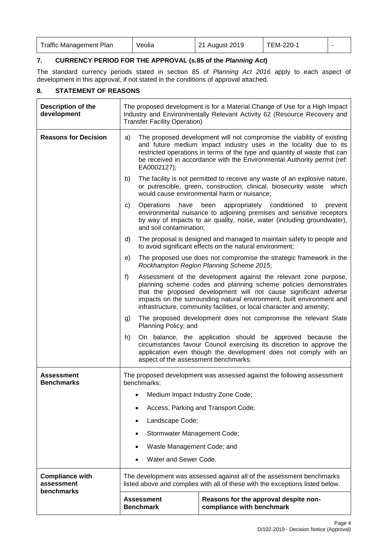| <b>Traffic Management Plan</b> | Veolia | 21 August 2019 | TEM-220- |  |
|--------------------------------|--------|----------------|----------|--|
|--------------------------------|--------|----------------|----------|--|

# **7. CURRENCY PERIOD FOR THE APPROVAL (s.85 of the** *Planning Act***)**

The standard currency periods stated in section 85 of *Planning Act 2016* apply to each aspect of development in this approval, if not stated in the conditions of approval attached.

# **8. STATEMENT OF REASONS**

r

| <b>Description of the</b><br>development           | The proposed development is for a Material Change of Use for a High Impact<br>Industry and Environmentally Relevant Activity 62 (Resource Recovery and<br><b>Transfer Facility Operation)</b>                                                                                                                                                                   |                                                                                                                                                                                                       |  |
|----------------------------------------------------|-----------------------------------------------------------------------------------------------------------------------------------------------------------------------------------------------------------------------------------------------------------------------------------------------------------------------------------------------------------------|-------------------------------------------------------------------------------------------------------------------------------------------------------------------------------------------------------|--|
| <b>Reasons for Decision</b>                        | The proposed development will not compromise the viability of existing<br>a)<br>and future medium impact industry uses in the locality due to its<br>restricted operations in terms of the type and quantity of waste that can<br>be received in accordance with the Environmental Authority permit (ref:<br>EA0002127);                                        |                                                                                                                                                                                                       |  |
|                                                    | The facility is not permitted to receive any waste of an explosive nature,<br>b)<br>or putrescible, green, construction, clinical, biosecurity waste which<br>would cause environmental harm or nuisance;                                                                                                                                                       |                                                                                                                                                                                                       |  |
|                                                    | Operations<br>have<br>c)<br>and soil contamination;                                                                                                                                                                                                                                                                                                             | been<br>appropriately conditioned<br>to<br>prevent<br>environmental nuisance to adjoining premises and sensitive receptors<br>by way of impacts to air quality, noise, water (including groundwater), |  |
|                                                    | d)                                                                                                                                                                                                                                                                                                                                                              | The proposal is designed and managed to maintain safety to people and<br>to avoid significant effects on the natural environment;                                                                     |  |
|                                                    | e)                                                                                                                                                                                                                                                                                                                                                              | The proposed use does not compromise the strategic framework in the<br>Rockhampton Region Planning Scheme 2015;                                                                                       |  |
|                                                    | f)<br>Assessment of the development against the relevant zone purpose,<br>planning scheme codes and planning scheme policies demonstrates<br>that the proposed development will not cause significant adverse<br>impacts on the surrounding natural environment, built environment and<br>infrastructure, community facilities, or local character and amenity; |                                                                                                                                                                                                       |  |
|                                                    | The proposed development does not compromise the relevant State<br>g)<br>Planning Policy; and                                                                                                                                                                                                                                                                   |                                                                                                                                                                                                       |  |
|                                                    | On balance, the application should be approved because the<br>h)<br>circumstances favour Council exercising its discretion to approve the<br>application even though the development does not comply with an<br>aspect of the assessment benchmarks.                                                                                                            |                                                                                                                                                                                                       |  |
| <b>Assessment</b><br><b>Benchmarks</b>             | The proposed development was assessed against the following assessment<br>benchmarks:                                                                                                                                                                                                                                                                           |                                                                                                                                                                                                       |  |
|                                                    |                                                                                                                                                                                                                                                                                                                                                                 | Medium Impact Industry Zone Code;                                                                                                                                                                     |  |
|                                                    |                                                                                                                                                                                                                                                                                                                                                                 | Access, Parking and Transport Code;                                                                                                                                                                   |  |
|                                                    | Landscape Code;                                                                                                                                                                                                                                                                                                                                                 |                                                                                                                                                                                                       |  |
|                                                    | Stormwater Management Code;                                                                                                                                                                                                                                                                                                                                     |                                                                                                                                                                                                       |  |
|                                                    | Waste Management Code; and                                                                                                                                                                                                                                                                                                                                      |                                                                                                                                                                                                       |  |
|                                                    | Water and Sewer Code.                                                                                                                                                                                                                                                                                                                                           |                                                                                                                                                                                                       |  |
| <b>Compliance with</b><br>assessment<br>benchmarks |                                                                                                                                                                                                                                                                                                                                                                 | The development was assessed against all of the assessment benchmarks<br>listed above and complies with all of these with the exceptions listed below.                                                |  |
|                                                    | <b>Assessment</b><br><b>Benchmark</b>                                                                                                                                                                                                                                                                                                                           | Reasons for the approval despite non-<br>compliance with benchmark                                                                                                                                    |  |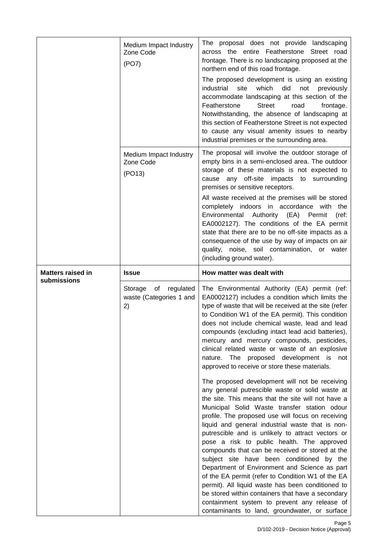|                          | Medium Impact Industry<br>Zone Code<br>(PO7)                | The proposal does not provide landscaping<br>across the entire Featherstone Street road<br>frontage. There is no landscaping proposed at the<br>northern end of this road frontage.<br>The proposed development is using an existing<br>industrial<br>which<br>did<br>not<br>site<br>previously<br>accommodate landscaping at this section of the<br><b>Street</b><br>Featherstone<br>road<br>frontage.<br>Notwithstanding, the absence of landscaping at<br>this section of Featherstone Street is not expected<br>to cause any visual amenity issues to nearby<br>industrial premises or the surrounding area.                                                               |
|--------------------------|-------------------------------------------------------------|--------------------------------------------------------------------------------------------------------------------------------------------------------------------------------------------------------------------------------------------------------------------------------------------------------------------------------------------------------------------------------------------------------------------------------------------------------------------------------------------------------------------------------------------------------------------------------------------------------------------------------------------------------------------------------|
|                          | Medium Impact Industry<br>Zone Code<br>(PO13)               | The proposal will involve the outdoor storage of<br>empty bins in a semi-enclosed area. The outdoor<br>storage of these materials is not expected to<br>cause any off-site impacts to<br>surrounding<br>premises or sensitive receptors.<br>All waste received at the premises will be stored<br>completely indoors in accordance with the                                                                                                                                                                                                                                                                                                                                     |
|                          |                                                             | Environmental Authority (EA) Permit<br>(ref)<br>EA0002127). The conditions of the EA permit<br>state that there are to be no off-site impacts as a<br>consequence of the use by way of impacts on air<br>quality, noise, soil contamination, or water<br>(including ground water).                                                                                                                                                                                                                                                                                                                                                                                             |
| <b>Matters raised in</b> | <b>Issue</b>                                                | How matter was dealt with                                                                                                                                                                                                                                                                                                                                                                                                                                                                                                                                                                                                                                                      |
| submissions              | Storage<br>of<br>regulated<br>waste (Categories 1 and<br>2) | The Environmental Authority (EA) permit (ref:<br>EA0002127) includes a condition which limits the<br>type of waste that will be received at the site (refer<br>to Condition W1 of the EA permit). This condition<br>does not include chemical waste, lead and lead<br>compounds (excluding intact lead acid batteries),<br>mercury and mercury compounds, pesticides,<br>clinical related waste or waste of an explosive<br>nature. The proposed development is<br>not<br>approved to receive or store these materials.                                                                                                                                                        |
|                          |                                                             | The proposed development will not be receiving<br>any general putrescible waste or solid waste at<br>the site. This means that the site will not have a<br>Municipal Solid Waste transfer station odour<br>profile. The proposed use will focus on receiving<br>liquid and general industrial waste that is non-<br>putrescible and is unlikely to attract vectors or<br>pose a risk to public health. The approved<br>compounds that can be received or stored at the<br>subject site have been conditioned by the<br>Department of Environment and Science as part<br>of the EA permit (refer to Condition W1 of the EA<br>permit). All liquid waste has been conditioned to |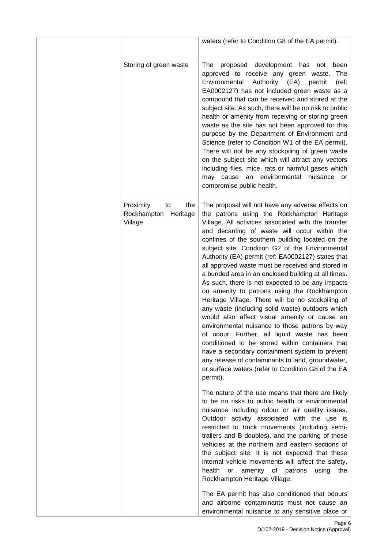|                                                           | waters (refer to Condition G8 of the EA permit).                                                                                                                                                                                                                                                                                                                                                                                                                                                                                                                                                                                                                                                                                                                                                                                                                                                                                                                                                                                                                           |
|-----------------------------------------------------------|----------------------------------------------------------------------------------------------------------------------------------------------------------------------------------------------------------------------------------------------------------------------------------------------------------------------------------------------------------------------------------------------------------------------------------------------------------------------------------------------------------------------------------------------------------------------------------------------------------------------------------------------------------------------------------------------------------------------------------------------------------------------------------------------------------------------------------------------------------------------------------------------------------------------------------------------------------------------------------------------------------------------------------------------------------------------------|
| Storing of green waste                                    | proposed development has<br>The<br>not<br>been<br>approved to receive any green waste.<br>The<br>Authority<br>Environmental<br>(EA)<br>permit<br>(ref:<br>EA0002127) has not included green waste as a<br>compound that can be received and stored at the<br>subject site. As such, there will be no risk to public<br>health or amenity from receiving or storing green<br>waste as the site has not been approved for this<br>purpose by the Department of Environment and<br>Science (refer to Condition W1 of the EA permit).<br>There will not be any stockpiling of green waste<br>on the subject site which will attract any vectors<br>including flies, mice, rats or harmful gases which<br>environmental<br>may cause<br>nuisance<br>an<br>or<br>compromise public health.                                                                                                                                                                                                                                                                                       |
| Proximity<br>the<br>to<br>Rockhampton Heritage<br>Village | The proposal will not have any adverse effects on<br>the patrons using the Rockhampton Heritage<br>Village. All activities associated with the transfer<br>and decanting of waste will occur within the<br>confines of the southern building located on the<br>subject site. Condition G2 of the Environmental<br>Authority (EA) permit (ref: EA0002127) states that<br>all approved waste must be received and stored in<br>a bunded area in an enclosed building at all times.<br>As such, there is not expected to be any impacts<br>on amenity to patrons using the Rockhampton<br>Heritage Village. There will be no stockpiling of<br>any waste (including solid waste) outdoors which<br>would also affect visual amenity or cause an<br>environmental nuisance to those patrons by way<br>of odour. Further, all liquid waste has been<br>conditioned to be stored within containers that<br>have a secondary containment system to prevent<br>any release of contaminants to land, groundwater,<br>or surface waters (refer to Condition G8 of the EA<br>permit). |
|                                                           | The nature of the use means that there are likely<br>to be no risks to public health or environmental<br>nuisance including odour or air quality issues.<br>Outdoor activity associated with the use is<br>restricted to truck movements (including semi-<br>trailers and B-doubles), and the parking of those<br>vehicles at the northern and eastern sections of<br>the subject site. It is not expected that these<br>internal vehicle movements will affect the safety,<br>health<br>amenity<br>of<br>or<br>patrons<br>using<br>the<br>Rockhampton Heritage Village.                                                                                                                                                                                                                                                                                                                                                                                                                                                                                                   |
|                                                           | The EA permit has also conditioned that odours<br>and airborne contaminants must not cause an<br>environmental nuisance to any sensitive place or                                                                                                                                                                                                                                                                                                                                                                                                                                                                                                                                                                                                                                                                                                                                                                                                                                                                                                                          |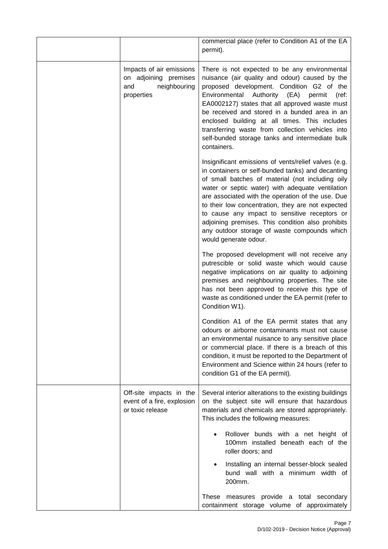|                                                                                        | commercial place (refer to Condition A1 of the EA<br>permit).                                                                                                                                                                                                                                                                                                                                                                                                                                              |
|----------------------------------------------------------------------------------------|------------------------------------------------------------------------------------------------------------------------------------------------------------------------------------------------------------------------------------------------------------------------------------------------------------------------------------------------------------------------------------------------------------------------------------------------------------------------------------------------------------|
| Impacts of air emissions<br>on adjoining premises<br>neighbouring<br>and<br>properties | There is not expected to be any environmental<br>nuisance (air quality and odour) caused by the<br>proposed development. Condition G2 of the<br>Environmental<br>Authority (EA)<br>permit<br>(ref:<br>EA0002127) states that all approved waste must<br>be received and stored in a bunded area in an<br>enclosed building at all times. This includes<br>transferring waste from collection vehicles into<br>self-bunded storage tanks and intermediate bulk<br>containers.                               |
|                                                                                        | Insignificant emissions of vents/relief valves (e.g.<br>in containers or self-bunded tanks) and decanting<br>of small batches of material (not including oily<br>water or septic water) with adequate ventilation<br>are associated with the operation of the use. Due<br>to their low concentration, they are not expected<br>to cause any impact to sensitive receptors or<br>adjoining premises. This condition also prohibits<br>any outdoor storage of waste compounds which<br>would generate odour. |
|                                                                                        | The proposed development will not receive any<br>putrescible or solid waste which would cause<br>negative implications on air quality to adjoining<br>premises and neighbouring properties. The site<br>has not been approved to receive this type of<br>waste as conditioned under the EA permit (refer to<br>Condition W1).                                                                                                                                                                              |
|                                                                                        | Condition A1 of the EA permit states that any<br>odours or airborne contaminants must not cause<br>an environmental nuisance to any sensitive place<br>or commercial place. If there is a breach of this<br>condition, it must be reported to the Department of<br>Environment and Science within 24 hours (refer to<br>condition G1 of the EA permit).                                                                                                                                                    |
| Off-site impacts in the<br>event of a fire, explosion<br>or toxic release              | Several interior alterations to the existing buildings<br>on the subject site will ensure that hazardous<br>materials and chemicals are stored appropriately.<br>This includes the following measures:                                                                                                                                                                                                                                                                                                     |
|                                                                                        | Rollover bunds with a net height of<br>100mm installed beneath each of the<br>roller doors; and                                                                                                                                                                                                                                                                                                                                                                                                            |
|                                                                                        | Installing an internal besser-block sealed<br>bund wall with a minimum width of<br>200mm.                                                                                                                                                                                                                                                                                                                                                                                                                  |
|                                                                                        | These measures provide a total secondary<br>containment storage volume of approximately                                                                                                                                                                                                                                                                                                                                                                                                                    |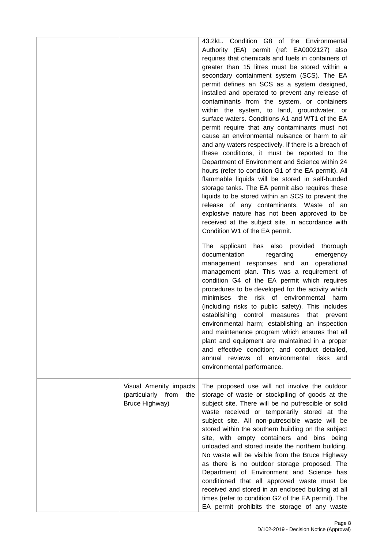|                                                                       | 43.2kL. Condition G8 of the Environmental<br>Authority (EA) permit (ref: EA0002127) also<br>requires that chemicals and fuels in containers of<br>greater than 15 litres must be stored within a<br>secondary containment system (SCS). The EA<br>permit defines an SCS as a system designed,<br>installed and operated to prevent any release of<br>contaminants from the system, or containers<br>within the system, to land, groundwater, or<br>surface waters. Conditions A1 and WT1 of the EA<br>permit require that any contaminants must not<br>cause an environmental nuisance or harm to air<br>and any waters respectively. If there is a breach of<br>these conditions, it must be reported to the<br>Department of Environment and Science within 24<br>hours (refer to condition G1 of the EA permit). All<br>flammable liquids will be stored in self-bunded<br>storage tanks. The EA permit also requires these<br>liquids to be stored within an SCS to prevent the<br>release of any contaminants. Waste of an<br>explosive nature has not been approved to be<br>received at the subject site, in accordance with<br>Condition W1 of the EA permit.<br>The applicant has also provided thorough<br>documentation<br>regarding<br>emergency<br>management responses and an<br>operational<br>management plan. This was a requirement of<br>condition G4 of the EA permit which requires<br>procedures to be developed for the activity which<br>minimises the risk of environmental harm<br>(including risks to public safety). This includes<br>establishing control measures<br>that<br>prevent<br>environmental harm; establishing an inspection<br>and maintenance program which ensures that all<br>plant and equipment are maintained in a proper |
|-----------------------------------------------------------------------|--------------------------------------------------------------------------------------------------------------------------------------------------------------------------------------------------------------------------------------------------------------------------------------------------------------------------------------------------------------------------------------------------------------------------------------------------------------------------------------------------------------------------------------------------------------------------------------------------------------------------------------------------------------------------------------------------------------------------------------------------------------------------------------------------------------------------------------------------------------------------------------------------------------------------------------------------------------------------------------------------------------------------------------------------------------------------------------------------------------------------------------------------------------------------------------------------------------------------------------------------------------------------------------------------------------------------------------------------------------------------------------------------------------------------------------------------------------------------------------------------------------------------------------------------------------------------------------------------------------------------------------------------------------------------------------------------------------------------------------------------------------------------|
|                                                                       | and effective condition; and conduct detailed,<br>annual reviews of environmental risks and<br>environmental performance.                                                                                                                                                                                                                                                                                                                                                                                                                                                                                                                                                                                                                                                                                                                                                                                                                                                                                                                                                                                                                                                                                                                                                                                                                                                                                                                                                                                                                                                                                                                                                                                                                                                |
| Visual Amenity impacts<br>(particularly from<br>the<br>Bruce Highway) | The proposed use will not involve the outdoor<br>storage of waste or stockpiling of goods at the<br>subject site. There will be no putrescible or solid<br>waste received or temporarily stored at the<br>subject site. All non-putrescible waste will be<br>stored within the southern building on the subject<br>site, with empty containers and bins being<br>unloaded and stored inside the northern building.<br>No waste will be visible from the Bruce Highway<br>as there is no outdoor storage proposed. The<br>Department of Environment and Science has<br>conditioned that all approved waste must be<br>received and stored in an enclosed building at all<br>times (refer to condition G2 of the EA permit). The<br>EA permit prohibits the storage of any waste                                                                                                                                                                                                                                                                                                                                                                                                                                                                                                                                                                                                                                                                                                                                                                                                                                                                                                                                                                                           |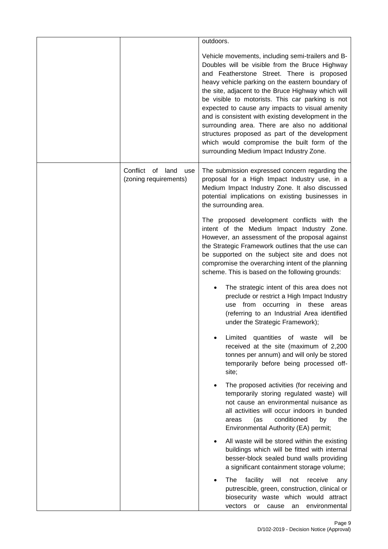|                                                  | outdoors.                                                                                                                                                                                                                                                                                                                                                                                                                                                                                                                                                                                                                |
|--------------------------------------------------|--------------------------------------------------------------------------------------------------------------------------------------------------------------------------------------------------------------------------------------------------------------------------------------------------------------------------------------------------------------------------------------------------------------------------------------------------------------------------------------------------------------------------------------------------------------------------------------------------------------------------|
|                                                  | Vehicle movements, including semi-trailers and B-<br>Doubles will be visible from the Bruce Highway<br>and Featherstone Street. There is proposed<br>heavy vehicle parking on the eastern boundary of<br>the site, adjacent to the Bruce Highway which will<br>be visible to motorists. This car parking is not<br>expected to cause any impacts to visual amenity<br>and is consistent with existing development in the<br>surrounding area. There are also no additional<br>structures proposed as part of the development<br>which would compromise the built form of the<br>surrounding Medium Impact Industry Zone. |
| Conflict of land<br>use<br>(zoning requirements) | The submission expressed concern regarding the<br>proposal for a High Impact Industry use, in a<br>Medium Impact Industry Zone. It also discussed<br>potential implications on existing businesses in<br>the surrounding area.                                                                                                                                                                                                                                                                                                                                                                                           |
|                                                  | The proposed development conflicts with the<br>intent of the Medium Impact Industry Zone.<br>However, an assessment of the proposal against<br>the Strategic Framework outlines that the use can<br>be supported on the subject site and does not<br>compromise the overarching intent of the planning<br>scheme. This is based on the following grounds:                                                                                                                                                                                                                                                                |
|                                                  | The strategic intent of this area does not<br>preclude or restrict a High Impact Industry<br>use from occurring in these<br>areas<br>(referring to an Industrial Area identified<br>under the Strategic Framework);                                                                                                                                                                                                                                                                                                                                                                                                      |
|                                                  | Limited<br>quantities of<br>waste<br>will<br>be<br>received at the site (maximum of 2,200<br>tonnes per annum) and will only be stored<br>temporarily before being processed off-<br>site;                                                                                                                                                                                                                                                                                                                                                                                                                               |
|                                                  | The proposed activities (for receiving and<br>temporarily storing regulated waste) will<br>not cause an environmental nuisance as<br>all activities will occur indoors in bunded<br>conditioned<br>the<br>(as<br>by<br>areas<br>Environmental Authority (EA) permit;                                                                                                                                                                                                                                                                                                                                                     |
|                                                  | All waste will be stored within the existing<br>buildings which will be fitted with internal<br>besser-block sealed bund walls providing<br>a significant containment storage volume;                                                                                                                                                                                                                                                                                                                                                                                                                                    |
|                                                  | facility<br>will<br>The<br>receive<br>not<br>any<br>putrescible, green, construction, clinical or<br>biosecurity waste which would attract<br>environmental<br>vectors<br>or<br>cause<br>an                                                                                                                                                                                                                                                                                                                                                                                                                              |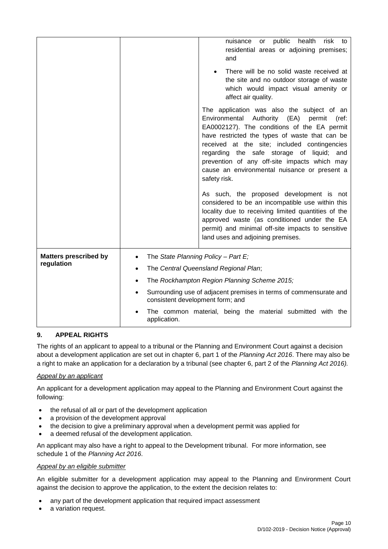|                                            | public<br>health<br>risk<br>nuisance<br>or<br>to<br>residential areas or adjoining premises;<br>and<br>There will be no solid waste received at<br>the site and no outdoor storage of waste<br>which would impact visual amenity or<br>affect air quality.<br>The application was also the subject of an<br>Environmental Authority<br>(EA)<br>permit<br>(ref:<br>EA0002127). The conditions of the EA permit<br>have restricted the types of waste that can be<br>received at the site; included contingencies<br>regarding the safe storage of<br>liquid; and<br>prevention of any off-site impacts which may<br>cause an environmental nuisance or present a<br>safety risk.<br>As such, the proposed development is not<br>considered to be an incompatible use within this<br>locality due to receiving limited quantities of the<br>approved waste (as conditioned under the EA<br>permit) and minimal off-site impacts to sensitive<br>land uses and adjoining premises. |
|--------------------------------------------|---------------------------------------------------------------------------------------------------------------------------------------------------------------------------------------------------------------------------------------------------------------------------------------------------------------------------------------------------------------------------------------------------------------------------------------------------------------------------------------------------------------------------------------------------------------------------------------------------------------------------------------------------------------------------------------------------------------------------------------------------------------------------------------------------------------------------------------------------------------------------------------------------------------------------------------------------------------------------------|
| <b>Matters prescribed by</b><br>regulation | The State Planning Policy - Part E;<br>The Central Queensland Regional Plan;<br>٠<br>The Rockhampton Region Planning Scheme 2015;<br>Surrounding use of adjacent premises in terms of commensurate and<br>consistent development form; and                                                                                                                                                                                                                                                                                                                                                                                                                                                                                                                                                                                                                                                                                                                                      |
|                                            | The common material, being the material submitted with the<br>application.                                                                                                                                                                                                                                                                                                                                                                                                                                                                                                                                                                                                                                                                                                                                                                                                                                                                                                      |

# **9. APPEAL RIGHTS**

The rights of an applicant to appeal to a tribunal or the Planning and Environment Court against a decision about a development application are set out in chapter 6, part 1 of the *Planning Act 2016*. There may also be a right to make an application for a declaration by a tribunal (see chapter 6, part 2 of the *Planning Act 2016).*

# *Appeal by an applicant*

An applicant for a development application may appeal to the Planning and Environment Court against the following:

- the refusal of all or part of the development application
- a provision of the development approval
- the decision to give a preliminary approval when a development permit was applied for
- a deemed refusal of the development application.

An applicant may also have a right to appeal to the Development tribunal. For more information, see schedule 1 of the *Planning Act 2016*.

#### *Appeal by an eligible submitter*

An eligible submitter for a development application may appeal to the Planning and Environment Court against the decision to approve the application, to the extent the decision relates to:

- any part of the development application that required impact assessment
- a variation request.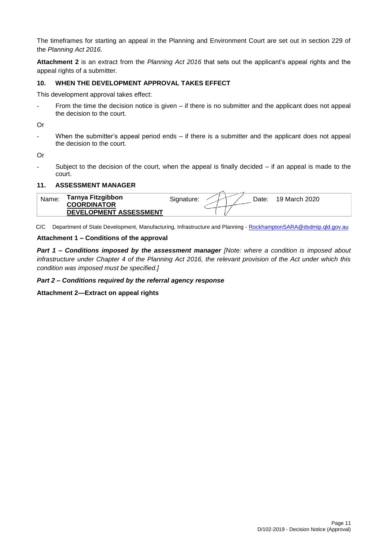The timeframes for starting an appeal in the Planning and Environment Court are set out in section 229 of the *Planning Act 2016*.

**Attachment 2** is an extract from the *Planning Act 2016* that sets out the applicant's appeal rights and the appeal rights of a submitter.

#### **10. WHEN THE DEVELOPMENT APPROVAL TAKES EFFECT**

This development approval takes effect:

From the time the decision notice is given  $-$  if there is no submitter and the applicant does not appeal the decision to the court.

Or

- When the submitter's appeal period ends – if there is a submitter and the applicant does not appeal the decision to the court.

Or

Subject to the decision of the court, when the appeal is finally decided  $-$  if an appeal is made to the court.

#### **11. ASSESSMENT MANAGER**

| Name. | Tarnya Fitzgibbon             | 19 March 2020<br>Signature:<br>Date: |  |
|-------|-------------------------------|--------------------------------------|--|
|       | <b>COORDINATOR</b>            |                                      |  |
|       | <b>DEVELOPMENT ASSESSMENT</b> |                                      |  |

C/C Department of State Development, Manufacturing, Infrastructure and Planning - [RockhamptonSARA@dsdmip.qld.gov.au](mailto:RockhamptonSARA@dsdmip.qld.gov.au)

#### **Attachment 1 – Conditions of the approval**

*Part 1* **–** *Conditions imposed by the assessment manager [Note: where a condition is imposed about infrastructure under Chapter 4 of the Planning Act 2016, the relevant provision of the Act under which this condition was imposed must be specified.]*

*Part 2 – Conditions required by the referral agency response* 

**Attachment 2—Extract on appeal rights**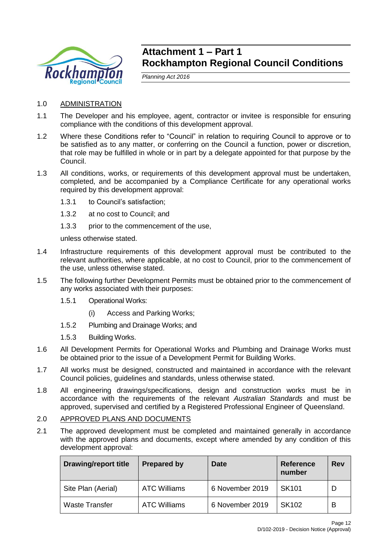

# **Attachment 1 – Part 1 Rockhampton Regional Council Conditions**

*Planning Act 2016*

- 1.0 ADMINISTRATION
- 1.1 The Developer and his employee, agent, contractor or invitee is responsible for ensuring compliance with the conditions of this development approval.
- 1.2 Where these Conditions refer to "Council" in relation to requiring Council to approve or to be satisfied as to any matter, or conferring on the Council a function, power or discretion, that role may be fulfilled in whole or in part by a delegate appointed for that purpose by the Council.
- 1.3 All conditions, works, or requirements of this development approval must be undertaken, completed, and be accompanied by a Compliance Certificate for any operational works required by this development approval:
	- 1.3.1 to Council's satisfaction;
	- 1.3.2 at no cost to Council; and
	- 1.3.3 prior to the commencement of the use,

unless otherwise stated.

- 1.4 Infrastructure requirements of this development approval must be contributed to the relevant authorities, where applicable, at no cost to Council, prior to the commencement of the use, unless otherwise stated.
- 1.5 The following further Development Permits must be obtained prior to the commencement of any works associated with their purposes:
	- 1.5.1 Operational Works:
		- (i) Access and Parking Works;
	- 1.5.2 Plumbing and Drainage Works; and
	- 1.5.3 Building Works.
- 1.6 All Development Permits for Operational Works and Plumbing and Drainage Works must be obtained prior to the issue of a Development Permit for Building Works.
- 1.7 All works must be designed, constructed and maintained in accordance with the relevant Council policies, guidelines and standards, unless otherwise stated.
- 1.8 All engineering drawings/specifications, design and construction works must be in accordance with the requirements of the relevant *Australian Standards* and must be approved, supervised and certified by a Registered Professional Engineer of Queensland.

# 2.0 APPROVED PLANS AND DOCUMENTS

2.1 The approved development must be completed and maintained generally in accordance with the approved plans and documents, except where amended by any condition of this development approval:

| <b>Drawing/report title</b> | <b>Prepared by</b>  | Date            | <b>Reference</b><br>number | Rev |
|-----------------------------|---------------------|-----------------|----------------------------|-----|
| Site Plan (Aerial)          | <b>ATC Williams</b> | 6 November 2019 | SK <sub>101</sub>          |     |
| <b>Waste Transfer</b>       | <b>ATC Williams</b> | 6 November 2019 | <b>SK102</b>               | В   |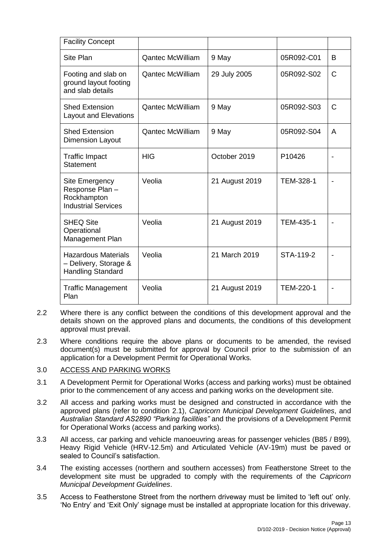| <b>Facility Concept</b>                                                         |                         |                |                  |                |
|---------------------------------------------------------------------------------|-------------------------|----------------|------------------|----------------|
| Site Plan                                                                       | <b>Qantec McWilliam</b> | 9 May          | 05R092-C01       | B              |
| Footing and slab on<br>ground layout footing<br>and slab details                | <b>Qantec McWilliam</b> | 29 July 2005   | 05R092-S02       | C              |
| <b>Shed Extension</b><br><b>Layout and Elevations</b>                           | <b>Qantec McWilliam</b> | 9 May          | 05R092-S03       | $\mathsf{C}$   |
| <b>Shed Extension</b><br><b>Dimension Layout</b>                                | Qantec McWilliam        | 9 May          | 05R092-S04       | A              |
| <b>Traffic Impact</b><br><b>Statement</b>                                       | <b>HIG</b>              | October 2019   | P10426           | $\blacksquare$ |
| Site Emergency<br>Response Plan -<br>Rockhampton<br><b>Industrial Services</b>  | Veolia                  | 21 August 2019 | TEM-328-1        |                |
| <b>SHEQ Site</b><br>Operational<br>Management Plan                              | Veolia                  | 21 August 2019 | TEM-435-1        |                |
| <b>Hazardous Materials</b><br>- Delivery, Storage &<br><b>Handling Standard</b> | Veolia                  | 21 March 2019  | STA-119-2        |                |
| <b>Traffic Management</b><br>Plan                                               | Veolia                  | 21 August 2019 | <b>TEM-220-1</b> |                |

- 2.2 Where there is any conflict between the conditions of this development approval and the details shown on the approved plans and documents, the conditions of this development approval must prevail.
- 2.3 Where conditions require the above plans or documents to be amended, the revised document(s) must be submitted for approval by Council prior to the submission of an application for a Development Permit for Operational Works.

# 3.0 ACCESS AND PARKING WORKS

- 3.1 A Development Permit for Operational Works (access and parking works) must be obtained prior to the commencement of any access and parking works on the development site.
- 3.2 All access and parking works must be designed and constructed in accordance with the approved plans (refer to condition 2.1), *Capricorn Municipal Development Guidelines*, and *Australian Standard AS2890 "Parking facilities"* and the provisions of a Development Permit for Operational Works (access and parking works).
- 3.3 All access, car parking and vehicle manoeuvring areas for passenger vehicles (B85 / B99), Heavy Rigid Vehicle (HRV-12.5m) and Articulated Vehicle (AV-19m) must be paved or sealed to Council's satisfaction.
- 3.4 The existing accesses (northern and southern accesses) from Featherstone Street to the development site must be upgraded to comply with the requirements of the *Capricorn Municipal Development Guidelines*.
- 3.5 Access to Featherstone Street from the northern driveway must be limited to 'left out' only. 'No Entry' and 'Exit Only' signage must be installed at appropriate location for this driveway.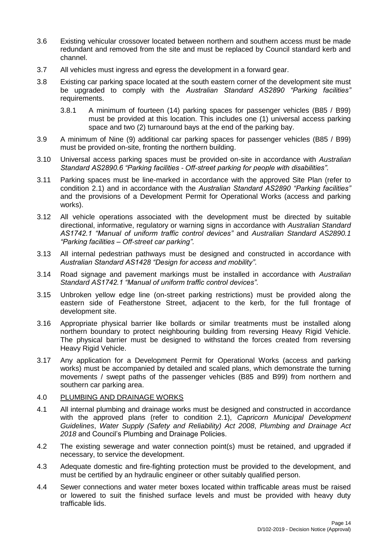- 3.6 Existing vehicular crossover located between northern and southern access must be made redundant and removed from the site and must be replaced by Council standard kerb and channel.
- 3.7 All vehicles must ingress and egress the development in a forward gear.
- 3.8 Existing car parking space located at the south eastern corner of the development site must be upgraded to comply with the *Australian Standard AS2890 "Parking facilities"* requirements.
	- 3.8.1 A minimum of fourteen (14) parking spaces for passenger vehicles (B85 / B99) must be provided at this location. This includes one (1) universal access parking space and two (2) turnaround bays at the end of the parking bay.
- 3.9 A minimum of Nine (9) additional car parking spaces for passenger vehicles (B85 / B99) must be provided on-site, fronting the northern building.
- 3.10 Universal access parking spaces must be provided on-site in accordance with *Australian Standard AS2890.6 "Parking facilities - Off-street parking for people with disabilities".*
- 3.11 Parking spaces must be line-marked in accordance with the approved Site Plan (refer to condition 2.1) and in accordance with the *Australian Standard AS2890 "Parking facilities"* and the provisions of a Development Permit for Operational Works (access and parking works).
- 3.12 All vehicle operations associated with the development must be directed by suitable directional, informative, regulatory or warning signs in accordance with *Australian Standard AS1742.1 "Manual of uniform traffic control devices"* and *Australian Standard AS2890.1 "Parking facilities – Off-street car parking"*.
- 3.13 All internal pedestrian pathways must be designed and constructed in accordance with *Australian Standard AS1428 "Design for access and mobility"*.
- 3.14 Road signage and pavement markings must be installed in accordance with *Australian Standard AS1742.1 "Manual of uniform traffic control devices"*.
- 3.15 Unbroken yellow edge line (on-street parking restrictions) must be provided along the eastern side of Featherstone Street, adjacent to the kerb, for the full frontage of development site.
- 3.16 Appropriate physical barrier like bollards or similar treatments must be installed along northern boundary to protect neighbouring building from reversing Heavy Rigid Vehicle. The physical barrier must be designed to withstand the forces created from reversing Heavy Rigid Vehicle.
- 3.17 Any application for a Development Permit for Operational Works (access and parking works) must be accompanied by detailed and scaled plans, which demonstrate the turning movements / swept paths of the passenger vehicles (B85 and B99) from northern and southern car parking area.

#### 4.0 PLUMBING AND DRAINAGE WORKS

- 4.1 All internal plumbing and drainage works must be designed and constructed in accordance with the approved plans (refer to condition 2.1), *Capricorn Municipal Development Guidelines*, *Water Supply (Safety and Reliability) Act 2008*, *Plumbing and Drainage Act 2018* and Council's Plumbing and Drainage Policies.
- 4.2 The existing sewerage and water connection point(s) must be retained, and upgraded if necessary, to service the development.
- 4.3 Adequate domestic and fire-fighting protection must be provided to the development, and must be certified by an hydraulic engineer or other suitably qualified person.
- 4.4 Sewer connections and water meter boxes located within trafficable areas must be raised or lowered to suit the finished surface levels and must be provided with heavy duty trafficable lids.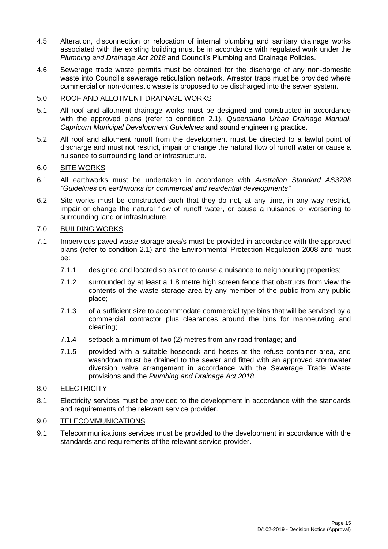- 4.5 Alteration, disconnection or relocation of internal plumbing and sanitary drainage works associated with the existing building must be in accordance with regulated work under the *Plumbing and Drainage Act 2018* and Council's Plumbing and Drainage Policies.
- 4.6 Sewerage trade waste permits must be obtained for the discharge of any non-domestic waste into Council's sewerage reticulation network. Arrestor traps must be provided where commercial or non-domestic waste is proposed to be discharged into the sewer system.

# 5.0 ROOF AND ALLOTMENT DRAINAGE WORKS

- 5.1 All roof and allotment drainage works must be designed and constructed in accordance with the approved plans (refer to condition 2.1), *Queensland Urban Drainage Manual*, *Capricorn Municipal Development Guidelines* and sound engineering practice.
- 5.2 All roof and allotment runoff from the development must be directed to a lawful point of discharge and must not restrict, impair or change the natural flow of runoff water or cause a nuisance to surrounding land or infrastructure.

# 6.0 SITE WORKS

- 6.1 All earthworks must be undertaken in accordance with *Australian Standard AS3798 "Guidelines on earthworks for commercial and residential developments"*.
- 6.2 Site works must be constructed such that they do not, at any time, in any way restrict, impair or change the natural flow of runoff water, or cause a nuisance or worsening to surrounding land or infrastructure.

# 7.0 BUILDING WORKS

- 7.1 Impervious paved waste storage area/s must be provided in accordance with the approved plans (refer to condition 2.1) and the Environmental Protection Regulation 2008 and must be:
	- 7.1.1 designed and located so as not to cause a nuisance to neighbouring properties;
	- 7.1.2 surrounded by at least a 1.8 metre high screen fence that obstructs from view the contents of the waste storage area by any member of the public from any public place;
	- 7.1.3 of a sufficient size to accommodate commercial type bins that will be serviced by a commercial contractor plus clearances around the bins for manoeuvring and cleaning;
	- 7.1.4 setback a minimum of two (2) metres from any road frontage; and
	- 7.1.5 provided with a suitable hosecock and hoses at the refuse container area, and washdown must be drained to the sewer and fitted with an approved stormwater diversion valve arrangement in accordance with the Sewerage Trade Waste provisions and the *Plumbing and Drainage Act 2018*.

# 8.0 ELECTRICITY

8.1 Electricity services must be provided to the development in accordance with the standards and requirements of the relevant service provider.

# 9.0 TELECOMMUNICATIONS

9.1 Telecommunications services must be provided to the development in accordance with the standards and requirements of the relevant service provider.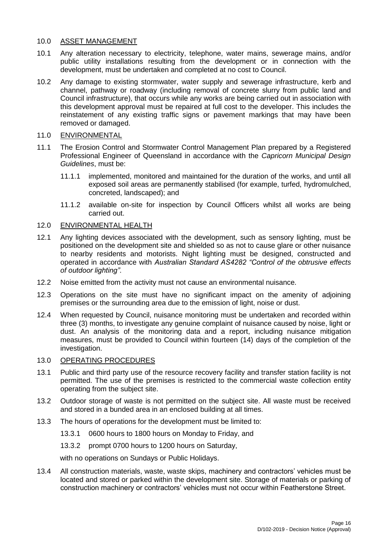# 10.0 ASSET MANAGEMENT

- 10.1 Any alteration necessary to electricity, telephone, water mains, sewerage mains, and/or public utility installations resulting from the development or in connection with the development, must be undertaken and completed at no cost to Council.
- 10.2 Any damage to existing stormwater, water supply and sewerage infrastructure, kerb and channel, pathway or roadway (including removal of concrete slurry from public land and Council infrastructure), that occurs while any works are being carried out in association with this development approval must be repaired at full cost to the developer. This includes the reinstatement of any existing traffic signs or pavement markings that may have been removed or damaged.

#### 11.0 ENVIRONMENTAL

- 11.1 The Erosion Control and Stormwater Control Management Plan prepared by a Registered Professional Engineer of Queensland in accordance with the *Capricorn Municipal Design Guidelines*, must be:
	- 11.1.1 implemented, monitored and maintained for the duration of the works, and until all exposed soil areas are permanently stabilised (for example, turfed, hydromulched, concreted, landscaped); and
	- 11.1.2 available on-site for inspection by Council Officers whilst all works are being carried out.

### 12.0 ENVIRONMENTAL HEALTH

- 12.1 Any lighting devices associated with the development, such as sensory lighting, must be positioned on the development site and shielded so as not to cause glare or other nuisance to nearby residents and motorists. Night lighting must be designed, constructed and operated in accordance with *Australian Standard AS4282 "Control of the obtrusive effects of outdoor lighting"*.
- 12.2 Noise emitted from the activity must not cause an environmental nuisance.
- 12.3 Operations on the site must have no significant impact on the amenity of adjoining premises or the surrounding area due to the emission of light, noise or dust.
- 12.4 When requested by Council, nuisance monitoring must be undertaken and recorded within three (3) months, to investigate any genuine complaint of nuisance caused by noise, light or dust. An analysis of the monitoring data and a report, including nuisance mitigation measures, must be provided to Council within fourteen (14) days of the completion of the investigation.

#### 13.0 OPERATING PROCEDURES

- 13.1 Public and third party use of the resource recovery facility and transfer station facility is not permitted. The use of the premises is restricted to the commercial waste collection entity operating from the subject site.
- 13.2 Outdoor storage of waste is not permitted on the subject site. All waste must be received and stored in a bunded area in an enclosed building at all times.
- 13.3 The hours of operations for the development must be limited to:
	- 13.3.1 0600 hours to 1800 hours on Monday to Friday, and
	- 13.3.2 prompt 0700 hours to 1200 hours on Saturday,

with no operations on Sundays or Public Holidays.

13.4 All construction materials, waste, waste skips, machinery and contractors' vehicles must be located and stored or parked within the development site. Storage of materials or parking of construction machinery or contractors' vehicles must not occur within Featherstone Street.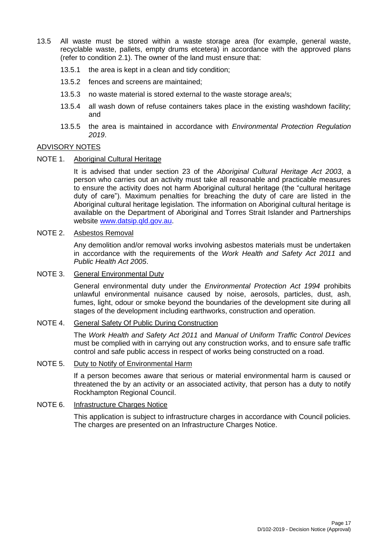- 13.5 All waste must be stored within a waste storage area (for example, general waste, recyclable waste, pallets, empty drums etcetera) in accordance with the approved plans (refer to condition 2.1). The owner of the land must ensure that:
	- 13.5.1 the area is kept in a clean and tidy condition;
	- 13.5.2 fences and screens are maintained;
	- 13.5.3 no waste material is stored external to the waste storage area/s;
	- 13.5.4 all wash down of refuse containers takes place in the existing washdown facility; and
	- 13.5.5 the area is maintained in accordance with *Environmental Protection Regulation 2019*.

### ADVISORY NOTES

NOTE 1. Aboriginal Cultural Heritage

It is advised that under section 23 of the *Aboriginal Cultural Heritage Act 2003*, a person who carries out an activity must take all reasonable and practicable measures to ensure the activity does not harm Aboriginal cultural heritage (the "cultural heritage duty of care"). Maximum penalties for breaching the duty of care are listed in the Aboriginal cultural heritage legislation. The information on Aboriginal cultural heritage is available on the Department of Aboriginal and Torres Strait Islander and Partnerships website www.datsip.gld.gov.au.

### NOTE 2. Asbestos Removal

Any demolition and/or removal works involving asbestos materials must be undertaken in accordance with the requirements of the *Work Health and Safety Act 2011* and *Public Health Act 2005*.

### NOTE 3. General Environmental Duty

General environmental duty under the *Environmental Protection Act 1994* prohibits unlawful environmental nuisance caused by noise, aerosols, particles, dust, ash, fumes, light, odour or smoke beyond the boundaries of the development site during all stages of the development including earthworks, construction and operation.

#### NOTE 4. General Safety Of Public During Construction

The *Work Health and Safety Act 2011* and *Manual of Uniform Traffic Control Devices* must be complied with in carrying out any construction works, and to ensure safe traffic control and safe public access in respect of works being constructed on a road.

#### NOTE 5. Duty to Notify of Environmental Harm

If a person becomes aware that serious or material environmental harm is caused or threatened the by an activity or an associated activity, that person has a duty to notify Rockhampton Regional Council.

### NOTE 6. Infrastructure Charges Notice

This application is subject to infrastructure charges in accordance with Council policies. The charges are presented on an Infrastructure Charges Notice.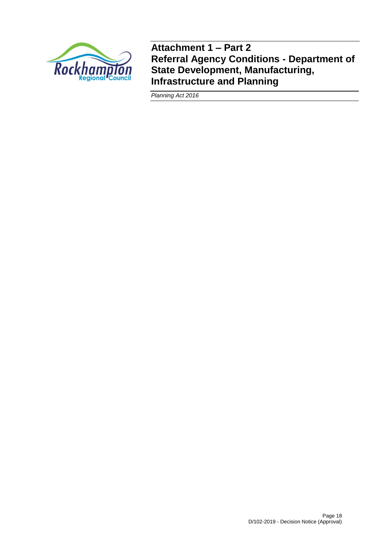

**Attachment 1 – Part 2 Referral Agency Conditions - Department of State Development, Manufacturing, Infrastructure and Planning**

*Planning Act 2016*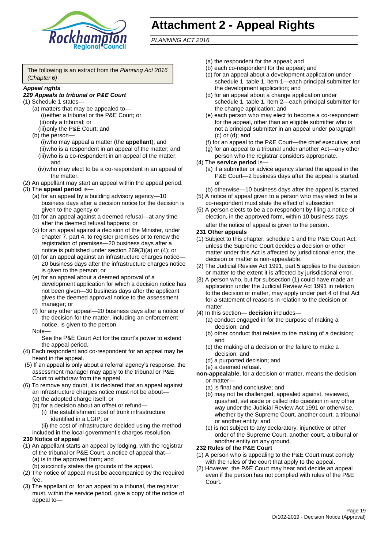

# **Attachment 2 - Appeal Rights**

*PLANNING ACT 2016*

The following is an extract from the *Planning Act 2016 (Chapter 6)*

#### *Appeal rights*

#### *229 Appeals to tribunal or P&E Court*

- (1) Schedule 1 states—
	- (a) matters that may be appealed to— (i)either a tribunal or the P&E Court; or (ii)only a tribunal; or
	- (iii)only the P&E Court; and (b) the person—
		- (i)who may appeal a matter (the **appellant**); and (ii)who is a respondent in an appeal of the matter; and (iii)who is a co-respondent in an appeal of the matter; and
		- (iv)who may elect to be a co-respondent in an appeal of the matter.
- (2) An appellant may start an appeal within the appeal period.
- (3) The **appeal period** is—
	- (a) for an appeal by a building advisory agency—10 business days after a decision notice for the decision is given to the agency or
	- (b) for an appeal against a deemed refusal—at any time after the deemed refusal happens; or
	- (c) for an appeal against a decision of the Minister, under chapter 7, part 4, to register premises or to renew the registration of premises—20 business days after a notice is published under section 269(3)(a) or (4); or
	- (d) for an appeal against an infrastructure charges notice— 20 business days after the infrastructure charges notice is given to the person; or
	- (e) for an appeal about a deemed approval of a development application for which a decision notice has not been given—30 business days after the applicant gives the deemed approval notice to the assessment manager; or
	- (f) for any other appeal—20 business days after a notice of the decision for the matter, including an enforcement notice, is given to the person.

#### Note—

See the P&E Court Act for the court's power to extend the appeal period.

- (4) Each respondent and co-respondent for an appeal may be heard in the appeal.
- (5) If an appeal is only about a referral agency's response, the assessment manager may apply to the tribunal or P&E Court to withdraw from the appeal.
- (6) To remove any doubt, it is declared that an appeal against an infrastructure charges notice must not be about—
	- (a) the adopted charge itself; or
	- (b) for a decision about an offset or refund—
		- (i) the establishment cost of trunk infrastructure identified in a LGIP; or
		- (ii) the cost of infrastructure decided using the method
	- included in the local government's charges resolution.

### **230 Notice of appeal**

- (1) An appellant starts an appeal by lodging, with the registrar of the tribunal or P&E Court, a notice of appeal that—
	- (a) is in the approved form; and
	- (b) succinctly states the grounds of the appeal.
- (2) The notice of appeal must be accompanied by the required fee.
- (3) The appellant or, for an appeal to a tribunal, the registrar must, within the service period, give a copy of the notice of appeal to—
- (a) the respondent for the appeal; and
- (b) each co-respondent for the appeal; and
- (c) for an appeal about a development application under schedule 1, table 1, item 1—each principal submitter for the development application; and
- (d) for an appeal about a change application under schedule 1, table 1, item 2—each principal submitter for the change application; and
- (e) each person who may elect to become a co-respondent for the appeal, other than an eligible submitter who is not a principal submitter in an appeal under paragraph (c) or (d); and
- (f) for an appeal to the P&E Court—the chief executive; and
- (g) for an appeal to a tribunal under another Act—any other person who the registrar considers appropriate.
- (4) The **service period** is—
	- (a) if a submitter or advice agency started the appeal in the P&E Court—2 business days after the appeal is started; or
	- (b) otherwise—10 business days after the appeal is started.
- (5) A notice of appeal given to a person who may elect to be a co-respondent must state the effect of subsection
- (6) A person elects to be a co-respondent by filing a notice of election, in the approved form, within 10 business days after the notice of appeal is given to the person*.*
- **231 Other appeals**
- (1) Subject to this chapter, schedule 1 and the P&E Court Act, unless the Supreme Court decides a decision or other matter under this Act is affected by jurisdictional error, the decision or matter is non-appealable.
- (2) The Judicial Review Act 1991, part 5 applies to the decision or matter to the extent it is affected by jurisdictional error.
- (3) A person who, but for subsection (1) could have made an application under the Judicial Review Act 1991 in relation to the decision or matter, may apply under part 4 of that Act for a statement of reasons in relation to the decision or matter.
- (4) In this section— **decision** includes—
	- (a) conduct engaged in for the purpose of making a decision; and
	- (b) other conduct that relates to the making of a decision; and
	- (c) the making of a decision or the failure to make a decision; and
	- (d) a purported decision; and
	- (e) a deemed refusal.

**non-appealable**, for a decision or matter, means the decision or matter—

- (a) is final and conclusive; and
- (b) may not be challenged, appealed against, reviewed, quashed, set aside or called into question in any other way under the Judicial Review Act 1991 or otherwise, whether by the Supreme Court, another court, a tribunal or another entity; and
- (c) is not subject to any declaratory, injunctive or other order of the Supreme Court, another court, a tribunal or another entity on any ground.

#### **232 Rules of the P&E Court**

- (1) A person who is appealing to the P&E Court must comply with the rules of the court that apply to the appeal.
- (2) However, the P&E Court may hear and decide an appeal even if the person has not complied with rules of the P&E Court.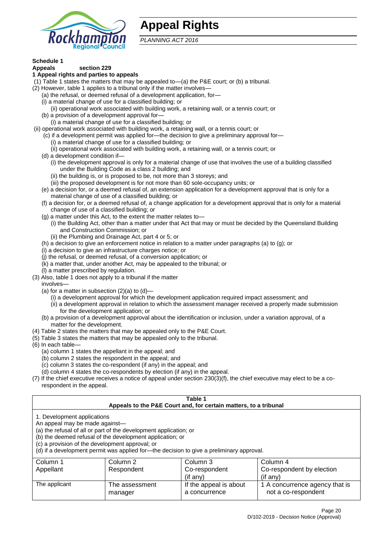

# **Appeal Rights**

*PLANNING ACT 2016*

# **Schedule 1**

#### **Appeals section 229 1 Appeal rights and parties to appeals**

- (1) Table 1 states the matters that may be appealed to—(a) the P&E court; or (b) a tribunal.
- (2) However, table 1 applies to a tribunal only if the matter involves—
	- (a) the refusal, or deemed refusal of a development application, for—
	- (i) a material change of use for a classified building; or
	- (ii) operational work associated with building work, a retaining wall, or a tennis court; or
	- (b) a provision of a development approval for—
	- (i) a material change of use for a classified building; or
- (ii) operational work associated with building work, a retaining wall, or a tennis court; or
	- (c) if a development permit was applied for—the decision to give a preliminary approval for— (i) a material change of use for a classified building; or
	- (ii) operational work associated with building work, a retaining wall, or a tennis court; or
	- (d) a development condition if—
		- (i) the development approval is only for a material change of use that involves the use of a building classified under the Building Code as a class 2 building; and
		- (ii) the building is, or is proposed to be, not more than 3 storeys; and
		- (iii) the proposed development is for not more than 60 sole-occupancy units; or
	- (e) a decision for, or a deemed refusal of, an extension application for a development approval that is only for a material change of use of a classified building; or
	- (f) a decision for, or a deemed refusal of, a change application for a development approval that is only for a material change of use of a classified building; or
	- (g) a matter under this Act, to the extent the matter relates to—
		- (i) the Building Act, other than a matter under that Act that may or must be decided by the Queensland Building and Construction Commission; or
		- (ii) the Plumbing and Drainage Act, part 4 or 5; or
	- (h) a decision to give an enforcement notice in relation to a matter under paragraphs (a) to (g); or
	- (i) a decision to give an infrastructure charges notice; or
	- (j) the refusal, or deemed refusal, of a conversion application; or
	- (k) a matter that, under another Act, may be appealed to the tribunal; or
	- (l) a matter prescribed by regulation.
- (3) Also, table 1 does not apply to a tribunal if the matter

involves—

- (a) for a matter in subsection  $(2)(a)$  to  $(d)$ 
	- (i) a development approval for which the development application required impact assessment; and
	- (ii) a development approval in relation to which the assessment manager received a properly made submission for the development application; or
- (b) a provision of a development approval about the identification or inclusion, under a variation approval, of a matter for the development.
- (4) Table 2 states the matters that may be appealed only to the P&E Court.
- (5) Table 3 states the matters that may be appealed only to the tribunal.
- (6) In each table—
	- (a) column 1 states the appellant in the appeal; and
	- (b) column 2 states the respondent in the appeal; and
	- (c) column 3 states the co-respondent (if any) in the appeal; and
	- (d) column 4 states the co-respondents by election (if any) in the appeal.
- (7) If the chief executive receives a notice of appeal under section 230(3)(f), the chief executive may elect to be a corespondent in the appeal.

| Table 1<br>Appeals to the P&E Court and, for certain matters, to a tribunal                                      |                                                                                                                                                                                                                            |                                         |                                                       |  |
|------------------------------------------------------------------------------------------------------------------|----------------------------------------------------------------------------------------------------------------------------------------------------------------------------------------------------------------------------|-----------------------------------------|-------------------------------------------------------|--|
| 1. Development applications<br>An appeal may be made against-<br>(c) a provision of the development approval; or | (a) the refusal of all or part of the development application; or<br>(b) the deemed refusal of the development application; or<br>(d) if a development permit was applied for-the decision to give a preliminary approval. |                                         |                                                       |  |
| Column 1                                                                                                         | Column 2                                                                                                                                                                                                                   | Column 3                                | Column 4                                              |  |
| Appellant                                                                                                        | Respondent                                                                                                                                                                                                                 | Co-respondent                           | Co-respondent by election                             |  |
| (if any)<br>$($ if any $)$                                                                                       |                                                                                                                                                                                                                            |                                         |                                                       |  |
| The applicant                                                                                                    | The assessment<br>manager                                                                                                                                                                                                  | If the appeal is about<br>a concurrence | 1 A concurrence agency that is<br>not a co-respondent |  |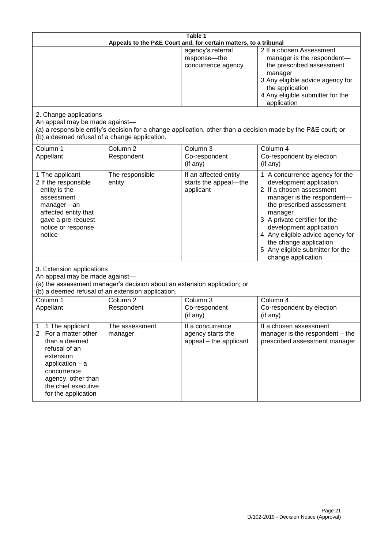| Table 1<br>Appeals to the P&E Court and, for certain matters, to a tribunal                                                                                                                                          |                                   |                                                                 |                                                                                                                                                                                                                                                                                                                                                 |
|----------------------------------------------------------------------------------------------------------------------------------------------------------------------------------------------------------------------|-----------------------------------|-----------------------------------------------------------------|-------------------------------------------------------------------------------------------------------------------------------------------------------------------------------------------------------------------------------------------------------------------------------------------------------------------------------------------------|
|                                                                                                                                                                                                                      |                                   | agency's referral<br>response-the<br>concurrence agency         | 2 If a chosen Assessment<br>manager is the respondent-<br>the prescribed assessment<br>manager<br>3 Any eligible advice agency for<br>the application<br>4 Any eligible submitter for the<br>application                                                                                                                                        |
| 2. Change applications<br>An appeal may be made against-<br>(b) a deemed refusal of a change application.                                                                                                            |                                   |                                                                 | (a) a responsible entity's decision for a change application, other than a decision made by the P&E court; or                                                                                                                                                                                                                                   |
| Column 1<br>Appellant                                                                                                                                                                                                | Column <sub>2</sub><br>Respondent | Column 3<br>Co-respondent<br>(if any)                           | Column 4<br>Co-respondent by election<br>(if any)                                                                                                                                                                                                                                                                                               |
| 1 The applicant<br>2 If the responsible<br>entity is the<br>assessment<br>manager-an<br>affected entity that<br>gave a pre-request<br>notice or response<br>notice                                                   | The responsible<br>entity         | If an affected entity<br>starts the appeal-the<br>applicant     | 1 A concurrence agency for the<br>development application<br>2 If a chosen assessment<br>manager is the respondent-<br>the prescribed assessment<br>manager<br>3 A private certifier for the<br>development application<br>4 Any eligible advice agency for<br>the change application<br>5 Any eligible submitter for the<br>change application |
| 3. Extension applications<br>An appeal may be made against-<br>(a) the assessment manager's decision about an extension application; or<br>(b) a deemed refusal of an extension application.                         |                                   |                                                                 |                                                                                                                                                                                                                                                                                                                                                 |
| Column 1<br>Appellant                                                                                                                                                                                                | Column <sub>2</sub><br>Respondent | Column 3<br>Co-respondent<br>(if any)                           | Column 4<br>Co-respondent by election<br>(if any)                                                                                                                                                                                                                                                                                               |
| 1 The applicant<br>1<br>$\overline{2}$<br>For a matter other<br>than a deemed<br>refusal of an<br>extension<br>application $-$ a<br>concurrence<br>agency, other than<br>the chief executive,<br>for the application | The assessment<br>manager         | If a concurrence<br>agency starts the<br>appeal - the applicant | If a chosen assessment<br>manager is the respondent – the<br>prescribed assessment manager                                                                                                                                                                                                                                                      |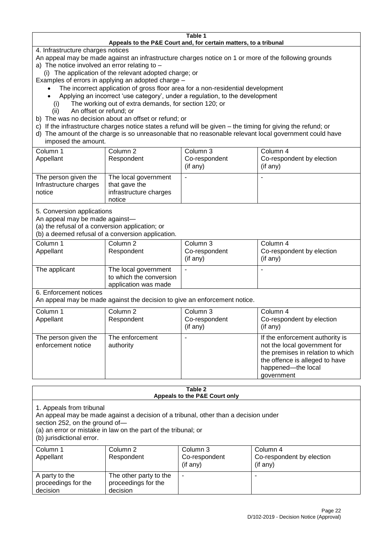#### **Table 1 Appeals to the P&E Court and, for certain matters, to a tribunal**

4. Infrastructure charges notices

- An appeal may be made against an infrastructure charges notice on 1 or more of the following grounds
- a) The notice involved an error relating to
	- (i) The application of the relevant adopted charge; or
- Examples of errors in applying an adopted charge
	- The incorrect application of gross floor area for a non-residential development
	- Applying an incorrect 'use category', under a regulation, to the development
	- (i) The working out of extra demands, for section 120; or
	- (ii) An offset or refund; or
- b) The was no decision about an offset or refund; or
- c) If the infrastructure charges notice states a refund will be given the timing for giving the refund; or
- d) The amount of the charge is so unreasonable that no reasonable relevant local government could have

# imposed the amount.

| Column 1<br>Appellant                                    | Column 2<br>Respondent                                                    | Column 3<br>Co-respondent<br>$($ if any $)$ | Column 4<br>Co-respondent by election<br>$($ if any $)$ |
|----------------------------------------------------------|---------------------------------------------------------------------------|---------------------------------------------|---------------------------------------------------------|
| The person given the<br>Infrastructure charges<br>notice | The local government<br>that gave the<br>infrastructure charges<br>notice |                                             |                                                         |

5. Conversion applications

An appeal may be made against—

(a) the refusal of a conversion application; or

(b) a deemed refusal of a conversion application.

| Column 1      | Column 2                | Column 3       | Column 4                  |
|---------------|-------------------------|----------------|---------------------------|
| Appellant     | Respondent              | Co-respondent  | Co-respondent by election |
|               |                         | $($ if any $)$ | $($ if any $)$            |
|               |                         |                |                           |
| The applicant | The local government    | ۰              | $\overline{\phantom{a}}$  |
|               | to which the conversion |                |                           |
|               | application was made    |                |                           |

6. Enforcement notices

An appeal may be made against the decision to give an enforcement notice.

| Column 1<br>Appellant                      | Column 2<br>Respondent       | Column 3<br>Co-respondent<br>(if any) | Column 4<br>Co-respondent by election<br>(if any)                                                                                                                          |
|--------------------------------------------|------------------------------|---------------------------------------|----------------------------------------------------------------------------------------------------------------------------------------------------------------------------|
| The person given the<br>enforcement notice | The enforcement<br>authority |                                       | If the enforcement authority is<br>not the local government for<br>the premises in relation to which<br>the offence is alleged to have<br>happened-the local<br>government |

#### **Table 2 Appeals to the P&E Court only**

1. Appeals from tribunal

An appeal may be made against a decision of a tribunal, other than a decision under

section 252, on the ground of—

(a) an error or mistake in law on the part of the tribunal; or

(b) jurisdictional error.

| Column 1<br>Appellant                             | Column 2<br>Respondent                                    | Column 3<br>Co-respondent<br>$($ if any $)$ | Column 4<br>Co-respondent by election<br>(if any) |
|---------------------------------------------------|-----------------------------------------------------------|---------------------------------------------|---------------------------------------------------|
| A party to the<br>proceedings for the<br>decision | The other party to the<br>proceedings for the<br>decision | ۰                                           |                                                   |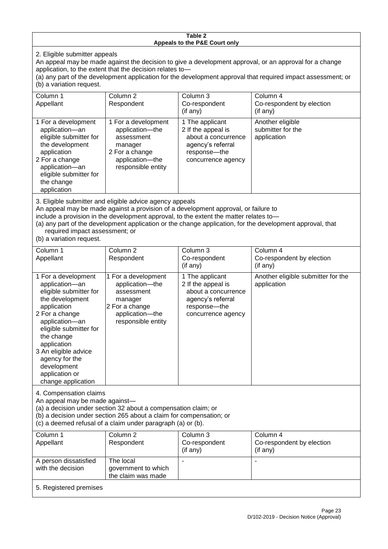#### **Table 2 Appeals to the P&E Court only**

2. Eligible submitter appeals

An appeal may be made against the decision to give a development approval, or an approval for a change application, to the extent that the decision relates to—

(a) any part of the development application for the development approval that required impact assessment; or (b) a variation request.

| Column 1                                                                                                                                                                                                                                                                                                                                                                                                           | Column 2                                                                                                                   | Column 3                                                                                                                | Column 4                                             |
|--------------------------------------------------------------------------------------------------------------------------------------------------------------------------------------------------------------------------------------------------------------------------------------------------------------------------------------------------------------------------------------------------------------------|----------------------------------------------------------------------------------------------------------------------------|-------------------------------------------------------------------------------------------------------------------------|------------------------------------------------------|
| Appellant                                                                                                                                                                                                                                                                                                                                                                                                          | Respondent                                                                                                                 | Co-respondent                                                                                                           | Co-respondent by election                            |
|                                                                                                                                                                                                                                                                                                                                                                                                                    |                                                                                                                            | (if any)                                                                                                                | (if any)                                             |
| 1 For a development<br>application-an<br>eligible submitter for<br>the development<br>application<br>2 For a change<br>application-an<br>eligible submitter for<br>the change<br>application                                                                                                                                                                                                                       | 1 For a development<br>application-the<br>assessment<br>manager<br>2 For a change<br>application-the<br>responsible entity | 1 The applicant<br>2 If the appeal is<br>about a concurrence<br>agency's referral<br>response-the<br>concurrence agency | Another eligible<br>submitter for the<br>application |
| 3. Eligible submitter and eligible advice agency appeals<br>An appeal may be made against a provision of a development approval, or failure to<br>include a provision in the development approval, to the extent the matter relates to-<br>(a) any part of the development application or the change application, for the development approval, that<br>required impact assessment; or<br>(b) a variation request. |                                                                                                                            |                                                                                                                         |                                                      |
| Column 1                                                                                                                                                                                                                                                                                                                                                                                                           | Column <sub>2</sub>                                                                                                        | Column 3                                                                                                                | Column 4                                             |
| Appellant                                                                                                                                                                                                                                                                                                                                                                                                          | Respondent                                                                                                                 | Co-respondent<br>(if any)                                                                                               | Co-respondent by election<br>(if any)                |
| 1 For a development                                                                                                                                                                                                                                                                                                                                                                                                | 1 For a development                                                                                                        | 1 The applicant                                                                                                         | Another eligible submitter for the                   |
| application-an                                                                                                                                                                                                                                                                                                                                                                                                     | application-the                                                                                                            | 2 If the appeal is                                                                                                      | application                                          |
| eligible submitter for                                                                                                                                                                                                                                                                                                                                                                                             | assessment                                                                                                                 | about a concurrence                                                                                                     |                                                      |

agency's referral response—the concurrence agency

4. Compensation claims

the development application 2 For a change application—an eligible submitter for

the change application 3 An eligible advice agency for the development application or change application

An appeal may be made against—

(a) a decision under section 32 about a compensation claim; or

manager 2 For a change application—the responsible entity

(b) a decision under section 265 about a claim for compensation; or

(c) a deemed refusal of a claim under paragraph (a) or (b).

| Column 1               | Column 2            | Column 3      | Column 4                  |
|------------------------|---------------------|---------------|---------------------------|
| Appellant              | Respondent          | Co-respondent | Co-respondent by election |
|                        |                     | (if any)      | (if any)                  |
| A person dissatisfied  | The local           |               |                           |
| with the decision      | government to which |               |                           |
|                        | the claim was made  |               |                           |
|                        |                     |               |                           |
| 5. Registered premises |                     |               |                           |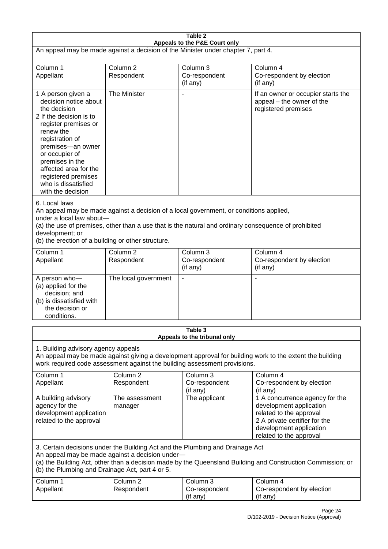| Table 2                                                                                                                                                                                                                                                                                                              |                                   |                                         |                                                                                                                                                                             |  |
|----------------------------------------------------------------------------------------------------------------------------------------------------------------------------------------------------------------------------------------------------------------------------------------------------------------------|-----------------------------------|-----------------------------------------|-----------------------------------------------------------------------------------------------------------------------------------------------------------------------------|--|
| Appeals to the P&E Court only<br>An appeal may be made against a decision of the Minister under chapter 7, part 4.                                                                                                                                                                                                   |                                   |                                         |                                                                                                                                                                             |  |
| Column 1<br>Appellant                                                                                                                                                                                                                                                                                                | Column <sub>2</sub><br>Respondent | Column 3<br>Co-respondent<br>(if any)   | Column 4<br>Co-respondent by election<br>(if any)                                                                                                                           |  |
| 1 A person given a<br>decision notice about<br>the decision<br>2 If the decision is to<br>register premises or<br>renew the<br>registration of<br>premises-an owner<br>or occupier of<br>premises in the<br>affected area for the<br>registered premises<br>who is dissatisfied<br>with the decision                 | The Minister                      | $\blacksquare$                          | If an owner or occupier starts the<br>appeal - the owner of the<br>registered premises                                                                                      |  |
| 6. Local laws<br>An appeal may be made against a decision of a local government, or conditions applied,<br>under a local law about-<br>(a) the use of premises, other than a use that is the natural and ordinary consequence of prohibited<br>development; or<br>(b) the erection of a building or other structure. |                                   |                                         |                                                                                                                                                                             |  |
| Column 1<br>Appellant                                                                                                                                                                                                                                                                                                | Column <sub>2</sub><br>Respondent | Column 3<br>Co-respondent<br>(if any)   | Column 4<br>Co-respondent by election<br>(if any)                                                                                                                           |  |
| A person who-<br>(a) applied for the<br>decision; and<br>(b) is dissatisfied with<br>the decision or<br>conditions.                                                                                                                                                                                                  | The local government              | $\overline{\phantom{a}}$                |                                                                                                                                                                             |  |
|                                                                                                                                                                                                                                                                                                                      |                                   | Table 3<br>Appeals to the tribunal only |                                                                                                                                                                             |  |
| 1. Building advisory agency appeals<br>An appeal may be made against giving a development approval for building work to the extent the building<br>work required code assessment against the building assessment provisions.                                                                                         |                                   |                                         |                                                                                                                                                                             |  |
| Column 1<br>Appellant                                                                                                                                                                                                                                                                                                | Column <sub>2</sub><br>Respondent | Column 3<br>Co-respondent<br>(if any)   | Column 4<br>Co-respondent by election<br>(if any)                                                                                                                           |  |
| A building advisory<br>agency for the<br>development application<br>related to the approval                                                                                                                                                                                                                          | The assessment<br>manager         | The applicant                           | 1 A concurrence agency for the<br>development application<br>related to the approval<br>2 A private certifier for the<br>development application<br>related to the approval |  |
| 3. Certain decisions under the Building Act and the Plumbing and Drainage Act<br>An appeal may be made against a decision under-<br>(a) the Building Act, other than a decision made by the Queensland Building and Construction Commission; or<br>(b) the Plumbing and Drainage Act, part 4 or 5.                   |                                   |                                         |                                                                                                                                                                             |  |
| Column 1<br>Appellant                                                                                                                                                                                                                                                                                                | Column <sub>2</sub><br>Respondent | Column 3<br>Co-respondent<br>(if any)   | Column 4<br>Co-respondent by election<br>(if any)                                                                                                                           |  |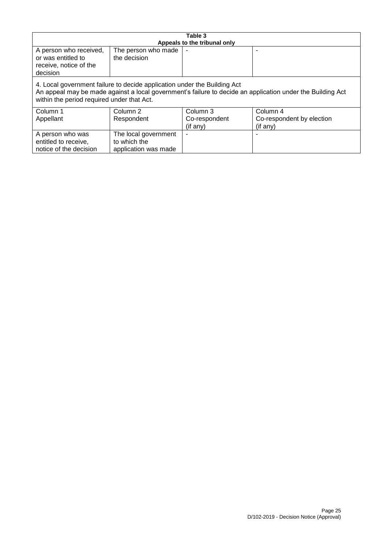| Table 3                                                                                                                                                                                                                              |                      |                              |                           |
|--------------------------------------------------------------------------------------------------------------------------------------------------------------------------------------------------------------------------------------|----------------------|------------------------------|---------------------------|
|                                                                                                                                                                                                                                      |                      | Appeals to the tribunal only |                           |
| A person who received,                                                                                                                                                                                                               | The person who made  |                              |                           |
| or was entitled to                                                                                                                                                                                                                   | the decision         |                              |                           |
| receive, notice of the                                                                                                                                                                                                               |                      |                              |                           |
| decision                                                                                                                                                                                                                             |                      |                              |                           |
| 4. Local government failure to decide application under the Building Act<br>An appeal may be made against a local government's failure to decide an application under the Building Act<br>within the period required under that Act. |                      |                              |                           |
| Column 1                                                                                                                                                                                                                             | Column 2             | Column 3                     | Column 4                  |
| Appellant                                                                                                                                                                                                                            | Respondent           | Co-respondent                | Co-respondent by election |
|                                                                                                                                                                                                                                      |                      | (if any)                     | (if any)                  |
| A person who was                                                                                                                                                                                                                     | The local government |                              |                           |
| entitled to receive,                                                                                                                                                                                                                 | to which the         |                              |                           |
| notice of the decision                                                                                                                                                                                                               | application was made |                              |                           |